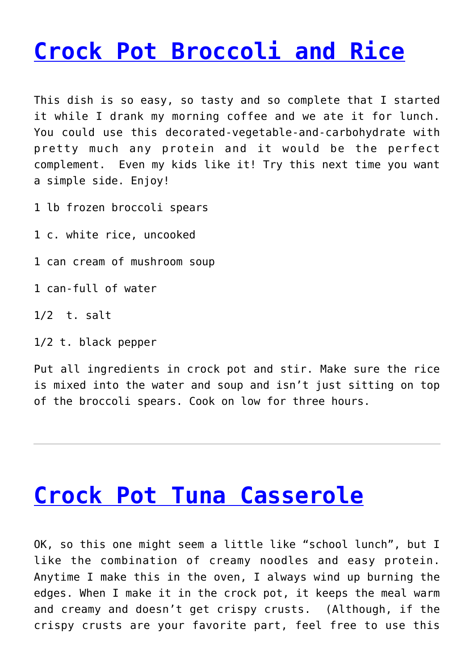## **[Crock Pot Broccoli and Rice](https://dinnerisacrock.com/2010/09/23/crock-pot-broccoli-and-rice/)**

This dish is so easy, so tasty and so complete that I started it while I drank my morning coffee and we ate it for lunch. You could use this decorated-vegetable-and-carbohydrate with pretty much any protein and it would be the perfect complement. Even my kids like it! Try this next time you want a simple side. Enjoy!

1 lb frozen broccoli spears

1 c. white rice, uncooked

1 can cream of mushroom soup

1 can-full of water

1/2 t. salt

1/2 t. black pepper

Put all ingredients in crock pot and stir. Make sure the rice is mixed into the water and soup and isn't just sitting on top of the broccoli spears. Cook on low for three hours.

# **[Crock Pot Tuna Casserole](https://dinnerisacrock.com/2010/06/09/crock-pot-tuna-casserole/)**

OK, so this one might seem a little like "school lunch", but I like the combination of creamy noodles and easy protein. Anytime I make this in the oven, I always wind up burning the edges. When I make it in the crock pot, it keeps the meal warm and creamy and doesn't get crispy crusts. (Although, if the crispy crusts are your favorite part, feel free to use this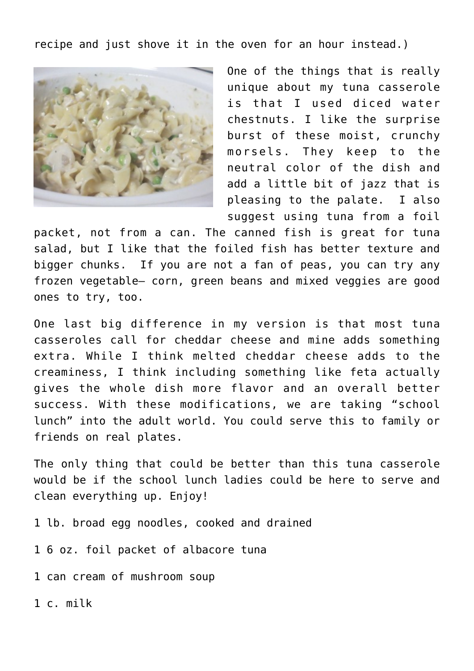recipe and just shove it in the oven for an hour instead.)



One of the things that is really unique about my tuna casserole is that I used diced water chestnuts. I like the surprise burst of these moist, crunchy morsels. They keep to the neutral color of the dish and add a little bit of jazz that is pleasing to the palate. I also suggest using tuna from a foil

packet, not from a can. The canned fish is great for tuna salad, but I like that the foiled fish has better texture and bigger chunks. If you are not a fan of peas, you can try any frozen vegetable– corn, green beans and mixed veggies are good ones to try, too.

One last big difference in my version is that most tuna casseroles call for cheddar cheese and mine adds something extra. While I think melted cheddar cheese adds to the creaminess, I think including something like feta actually gives the whole dish more flavor and an overall better success. With these modifications, we are taking "school lunch" into the adult world. You could serve this to family or friends on real plates.

The only thing that could be better than this tuna casserole would be if the school lunch ladies could be here to serve and clean everything up. Enjoy!

- 1 lb. broad egg noodles, cooked and drained
- 1 6 oz. foil packet of albacore tuna
- 1 can cream of mushroom soup
- 1 c. milk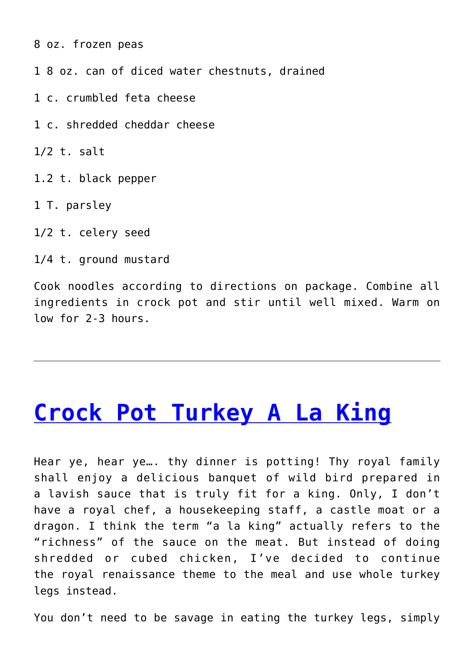8 oz. frozen peas

1 8 oz. can of diced water chestnuts, drained

1 c. crumbled feta cheese

1 c. shredded cheddar cheese

1/2 t. salt

1.2 t. black pepper

1 T. parsley

1/2 t. celery seed

1/4 t. ground mustard

Cook noodles according to directions on package. Combine all ingredients in crock pot and stir until well mixed. Warm on low for 2-3 hours.

#### **[Crock Pot Turkey A La King](https://dinnerisacrock.com/2010/05/24/crock-pot-turkey-a-la-king/)**

Hear ye, hear ye…. thy dinner is potting! Thy royal family shall enjoy a delicious banquet of wild bird prepared in a lavish sauce that is truly fit for a king. Only, I don't have a royal chef, a housekeeping staff, a castle moat or a dragon. I think the term "a la king" actually refers to the "richness" of the sauce on the meat. But instead of doing shredded or cubed chicken, I've decided to continue the royal renaissance theme to the meal and use whole turkey legs instead.

You don't need to be savage in eating the turkey legs, simply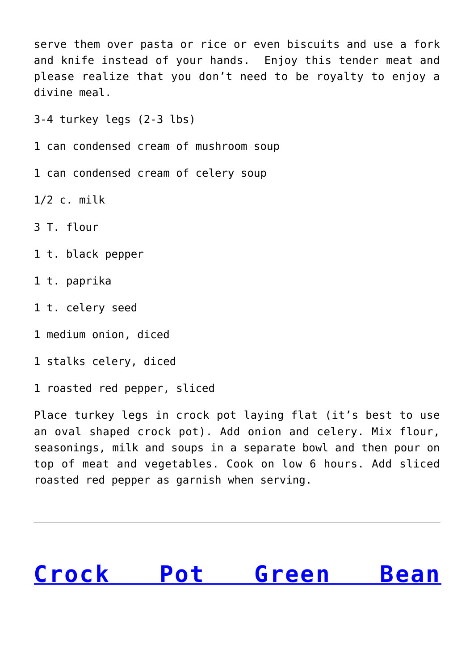serve them over pasta or rice or even biscuits and use a fork and knife instead of your hands. Enjoy this tender meat and please realize that you don't need to be royalty to enjoy a divine meal.

3-4 turkey legs (2-3 lbs)

- 1 can condensed cream of mushroom soup
- 1 can condensed cream of celery soup

1/2 c. milk

3 T. flour

- 1 t. black pepper
- 1 t. paprika
- 1 t. celery seed
- 1 medium onion, diced
- 1 stalks celery, diced
- 1 roasted red pepper, sliced

Place turkey legs in crock pot laying flat (it's best to use an oval shaped crock pot). Add onion and celery. Mix flour, seasonings, milk and soups in a separate bowl and then pour on top of meat and vegetables. Cook on low 6 hours. Add sliced roasted red pepper as garnish when serving.

# **[Crock Pot Green Bean](https://dinnerisacrock.com/2010/02/24/green-bean-casserole/)**